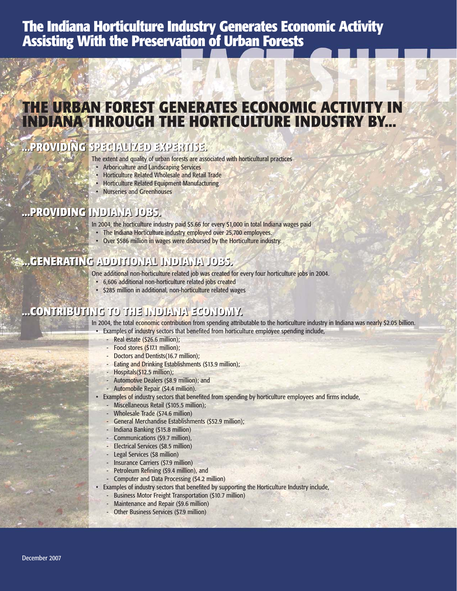# **The Indiana Horticulture Industry Generates Economic Activity Assisting With the Preservation of Urban Forests**

# **THE URBAN FOREST GENERATES ECONOMIC ACTIVITY IN INDIANA THROUGH THE HORTICULTURE INDUSTRY BY...**

### **...PROVIDING SPECIALIZED EXPERTISE. ...PROVIDING SPECIALIZED EXPERTISE.**

The extent and quality of urban forests are associated with horticultural practices

- Arboriculture and Landscaping Services
- Horticulture Related Wholesale and Retail Trade
- Horticulture Related Equipment Manufacturing
- Nurseries and Greenhouses

### **...PROVIDING INDIANA JOBS. ...PROVIDING INDIANA JOBS.**

In 2004, the horticulture industry paid \$5.66 for every \$1,000 in total Indiana wages paid

- The Indiana Horticulture industry employed over 25,700 employees.
- Over \$586 million in wages were disbursed by the Horticulture industry.

### **...GENERATING ADDITIONAL INDIANA JOBS. ...GENERATING ADDITIONAL INDIANA JOBS.**

One additional non-horticulture related job was created for every four horticulture jobs in 2004.

- 6,606 additional non-horticulture related jobs created
- \$285 million in additional, non-horticulture related wages

### **...CONTRIBUTING TO THE INDIANA EC ...CONTRIBUTING TO THE INDIANA ECONOMY.**

In 2004, the total economic contribution from spending attributable to the horticulture industry in Indiana was nearly \$2.05 billion.

- Examples of industry sectors that benefited from horticulture employee spending include,
	- Real estate (\$26.6 million):
	- Food stores (\$17.1 million);
	- Doctors and Dentists(16.7 million);
	- Eating and Drinking Establishments (\$13.9 million);
	- Hospitals(\$12.5 million);
	- Automotive Dealers (\$8.9 million); and
	- Automobile Repair (\$4.4 million).
- Examples of industry sectors that benefited from spending by horticulture employees and firms include,
	- Miscellaneous Retail (\$105.5 million);
	- Wholesale Trade (\$74.6 million)
	- General Merchandise Establishments (\$52.9 million);
	- Indiana Banking (\$15.8 million)
	- Communications (\$9.7 million),
	- Electrical Services (\$8.5 million)
	- Legal Services (\$8 million)
	- Insurance Carriers (\$7.9 million)
	- Petroleum Refining (\$9.4 million), and
	- Computer and Data Processing (\$4.2 million)
	- Examples of industry sectors that benefited by supporting the Horticulture Industry include,
		- Business Motor Freight Transportation (\$10.7 million)
		- Maintenance and Repair (\$9.6 million)
		- Other Business Services (\$7.9 million)